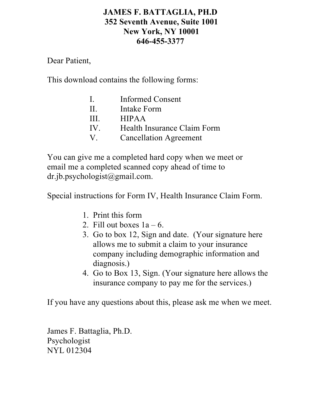## **JAMES F. BATTAGLIA, PH.D 352 Seventh Avenue, Suite 1001 New York, NY 10001 646-455-3377**

Dear Patient,

This download contains the following forms:

| $\bf{L}$ | Informed Consent              |
|----------|-------------------------------|
| Н.       | Intake Form                   |
| III.     | <b>HIPAA</b>                  |
| IV.      | Health Insurance Claim Form   |
| V        | <b>Cancellation Agreement</b> |

You can give me a completed hard copy when we meet or email me a completed scanned copy ahead of time to dr.jb.psychologist@gmail.com.

Special instructions for Form IV, Health Insurance Claim Form.

- 1. Print this form
- 2. Fill out boxes  $1a 6$ .
- 3. Go to box 12, Sign and date. (Your signature here allows me to submit a claim to your insurance company including demographic information and diagnosis.)
- 4. Go to Box 13, Sign. (Your signature here allows the insurance company to pay me for the services.)

If you have any questions about this, please ask me when we meet.

James F. Battaglia, Ph.D. Psychologist NYL 012304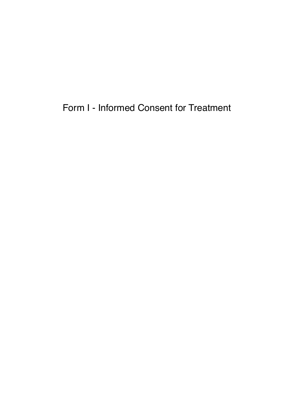Form I - Informed Consent for Treatment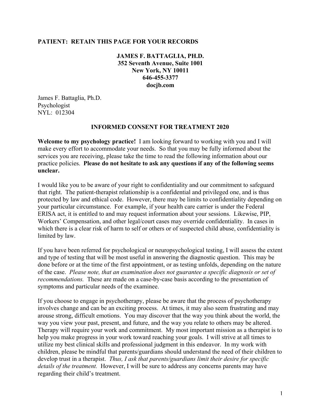#### **PATIENT: RETAIN THIS PAGE FOR YOUR RECORDS**

**JAMES F. BATTAGLIA, PH.D. 352 Seventh Avenue, Suite 1001 New York, NY 10011 646-455-3377 docjb.com**

James F. Battaglia, Ph.D. Psychologist NYL: 012304

#### **INFORMED CONSENT FOR TREATMENT 2020**

**Welcome to my psychology practice!** I am looking forward to working with you and I will make every effort to accommodate your needs. So that you may be fully informed about the services you are receiving, please take the time to read the following information about our practice policies. **Please do not hesitate to ask any questions if any of the following seems unclear.** 

I would like you to be aware of your right to confidentiality and our commitment to safeguard that right. The patient-therapist relationship is a confidential and privileged one, and is thus protected by law and ethical code. However, there may be limits to confidentiality depending on your particular circumstance. For example, if your health care carrier is under the Federal ERISA act, it is entitled to and may request information about your sessions. Likewise, PIP, Workers' Compensation, and other legal/court cases may override confidentiality. In cases in which there is a clear risk of harm to self or others or of suspected child abuse, confidentiality is limited by law.

If you have been referred for psychological or neuropsychological testing, I will assess the extent and type of testing that will be most useful in answering the diagnostic question. This may be done before or at the time of the first appointment, or as testing unfolds, depending on the nature of the case. *Please note, that an examination does not guarantee a specific diagnosis or set of recommendations.* These are made on a case-by-case basis according to the presentation of symptoms and particular needs of the examinee.

If you choose to engage in psychotherapy, please be aware that the process of psychotherapy involves change and can be an exciting process. At times, it may also seem frustrating and may arouse strong, difficult emotions. You may discover that the way you think about the world, the way you view your past, present, and future, and the way you relate to others may be altered. Therapy will require your work and commitment. My most important mission as a therapist is to help you make progress in your work toward reaching your goals. I will strive at all times to utilize my best clinical skills and professional judgment in this endeavor. In my work with children, please be mindful that parents/guardians should understand the need of their children to develop trust in a therapist. *Thus, I ask that parents/guardians limit their desire for specific details of the treatment.* However, I will be sure to address any concerns parents may have regarding their child's treatment.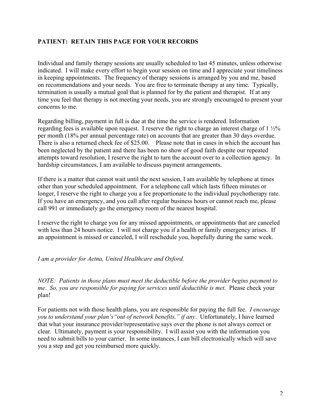## **PATIENT: RETAIN THIS PAGE FOR YOUR RECORDS**

Individual and family therapy sessions are usually scheduled to last 45 minutes, unless otherwise indicated. I will make every effort to begin your session on time and I appreciate your timeliness in keeping appointments. The frequency of therapy sessions is arranged by you and me, based on recommendations and your needs. You are free to terminate therapy at any time. Typically, termination is usually a mutual goal that is planned for by the patient and therapist. If at any time you feel that therapy is not meeting your needs, you are strongly encouraged to present your concerns to me.

Regarding billing, payment in full is due at the time the service is rendered. Information regarding fees is available upon request. I reserve the right to charge an interest charge of  $1\frac{1}{2}\%$ per month (18% per annual percentage rate) on accounts that are greater than 30 days overdue. There is also a returned check fee of \$25.00. Please note that in cases in which the account has been neglected by the patient and there has been no show of good faith despite our repeated attempts toward resolution, I reserve the right to turn the account over to a collection agency. In hardship circumstances, I am available to discuss payment arrangements.

If there is a matter that cannot wait until the next session, I am available by telephone at times other than your scheduled appointment. For a telephone call which lasts fifteen minutes or longer, I reserve the right to charge you a fee proportionate to the individual psychotherapy rate. If you have an emergency, and you call after regular business hours or cannot reach me, please call 991 or immediately go the emergency room of the nearest hospital.

I reserve the right to charge you for any missed appointments, or appointments that are canceled with less than 24 hours notice. I will not charge you if a health or family emergency arises. If an appointment is missed or canceled, I will reschedule you, hopefully during the same week.

#### *I am a provider for Aetna, United Healthcare and Oxford.*

*NOTE: Patients in those plans must meet the deductible before the provider begins payment to me*. *So, you are responsible for paying for services until deductible is met.* Please check your plan!

For patients not with those health plans, you are responsible for paying the full fee. *I encourage you to understand your plan's"out of network benefits," if any*. Unfortunately, I have learned that what your insurance provider/representative says over the phone is not always correct or clear. Ultimately, payment is your responsibility. I will assist you with the information you need to submit bills to your carrier. In some instances, I can bill electronically which will save you a step and get you reimbursed more quickly.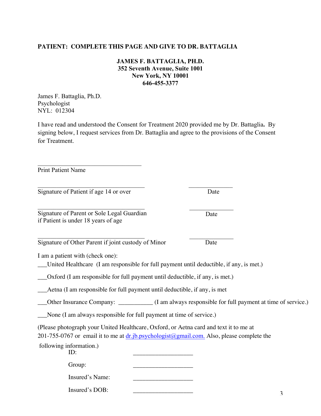#### **PATIENT: COMPLETE THIS PAGE AND GIVE TO DR. BATTAGLIA**

**JAMES F. BATTAGLIA, PH.D. 352 Seventh Avenue, Suite 1001 New York, NY 10001 646-455-3377**

James F. Battaglia, Ph.D. Psychologist NYL: 012304

I have read and understood the Consent for Treatment 2020 provided me by Dr. Battaglia**.** By signing below, I request services from Dr. Battaglia and agree to the provisions of the Consent for Treatment.

Print Patient Name

Signature of Patient if age 14 or over Date

 $\mathcal{L}_\text{max}$  , where  $\mathcal{L}_\text{max}$  and  $\mathcal{L}_\text{max}$  and  $\mathcal{L}_\text{max}$ 

Signature of Parent or Sole Legal Guardian if Patient is under 18 years of age

 $\mathcal{L}_\text{max}$  , where  $\mathcal{L}_\text{max}$  and  $\mathcal{L}_\text{max}$  and  $\mathcal{L}_\text{max}$ 

 $\mathcal{L}_\text{max}$ 

Signature of Other Parent if joint custody of Minor

I am a patient with (check one):

\_\_\_United Healthcare (I am responsible for full payment until deductible, if any, is met.)

\_\_\_Oxford (I am responsible for full payment until deductible, if any, is met.)

 $\mathcal{L}_\mathcal{L}$  , and the contribution of the contribution of  $\mathcal{L}_\mathcal{L}$ 

\_\_\_Aetna (I am responsible for full payment until deductible, if any, is met

\_\_\_Other Insurance Company: \_\_\_\_\_\_\_\_\_\_\_ (I am always responsible for full payment at time of service.)

\_\_\_None (I am always responsible for full payment at time of service.)

(Please photograph your United Healthcare, Oxford, or Aetna card and text it to me at

201-755-0767 or email it to me at dr.jb.psychologist@gmail.com. Also, please complete the

| following information.)<br>ID: |  |
|--------------------------------|--|
| Group:                         |  |
| Insured's Name:                |  |
| Insured's DOB:                 |  |

 $\mathcal{L}_\text{max}$ Date

 $\mathcal{L}$  , we have the set of  $\mathcal{L}$ Date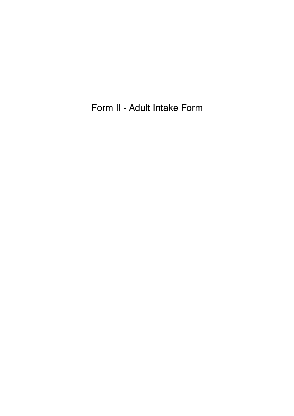Form II - Adult Intake Form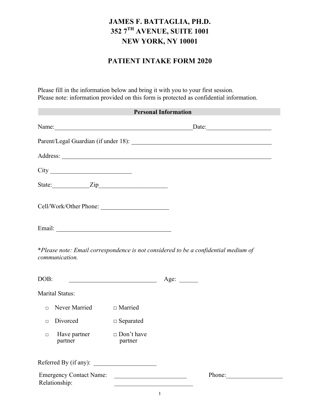# **JAMES F. BATTAGLIA, PH.D. 352 7 TH AVENUE, SUITE 1001 NEW YORK, NY 10001**

## **PATIENT INTAKE FORM 2020**

Please fill in the information below and bring it with you to your first session. Please note: information provided on this form is protected as confidential information.

| <b>Personal Information</b>               |                                                   |                                                                                     |  |
|-------------------------------------------|---------------------------------------------------|-------------------------------------------------------------------------------------|--|
|                                           |                                                   | Name: Date: Date:                                                                   |  |
|                                           |                                                   |                                                                                     |  |
|                                           |                                                   |                                                                                     |  |
|                                           |                                                   |                                                                                     |  |
| State: <u>Zip</u>                         |                                                   |                                                                                     |  |
| Cell/Work/Other Phone:                    |                                                   |                                                                                     |  |
|                                           |                                                   |                                                                                     |  |
| communication.                            |                                                   | *Please note: Email correspondence is not considered to be a confidential medium of |  |
| DOB:                                      | <u> 1990 - Johann Barnett, fransk politiker (</u> | Age: $\qquad \qquad$                                                                |  |
| Marital Status:                           |                                                   |                                                                                     |  |
| Never Married<br>$\Box$                   | $\Box$ Married                                    |                                                                                     |  |
| Divorced<br>$\Box$                        | $\Box$ Separated                                  |                                                                                     |  |
| Have partner<br>$\Box$<br>partner partner | $\Box$ Don't have                                 |                                                                                     |  |
|                                           |                                                   |                                                                                     |  |
| Emergency Contact Name:<br>Relationship:  | <u> 1980 - Jan Barbara Barat, prima polit</u> ik  | Phone:                                                                              |  |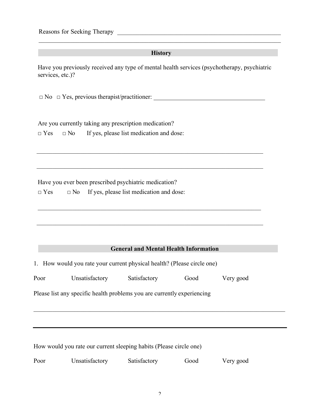Reasons for Seeking Therapy

#### **History**

Have you previously received any type of mental health services (psychotherapy, psychiatric services, etc.)?

□ No □ Yes, previous therapist/practitioner:

Are you currently taking any prescription medication?

 $\Box$  Yes  $\Box$  No If yes, please list medication and dose:

Have you ever been prescribed psychiatric medication?

| $\Box$ Yes |  |  |  |  |  | $\Box$ No If yes, please list medication and dose: |
|------------|--|--|--|--|--|----------------------------------------------------|
|------------|--|--|--|--|--|----------------------------------------------------|

## **General and Mental Health Information**

 $\mathcal{L}_\mathcal{L} = \{ \mathcal{L}_\mathcal{L} = \{ \mathcal{L}_\mathcal{L} = \{ \mathcal{L}_\mathcal{L} = \{ \mathcal{L}_\mathcal{L} = \{ \mathcal{L}_\mathcal{L} = \{ \mathcal{L}_\mathcal{L} = \{ \mathcal{L}_\mathcal{L} = \{ \mathcal{L}_\mathcal{L} = \{ \mathcal{L}_\mathcal{L} = \{ \mathcal{L}_\mathcal{L} = \{ \mathcal{L}_\mathcal{L} = \{ \mathcal{L}_\mathcal{L} = \{ \mathcal{L}_\mathcal{L} = \{ \mathcal{L}_\mathcal{$ 

 $\mathcal{L}_\mathcal{L} = \{ \mathcal{L}_\mathcal{L} = \{ \mathcal{L}_\mathcal{L} = \{ \mathcal{L}_\mathcal{L} = \{ \mathcal{L}_\mathcal{L} = \{ \mathcal{L}_\mathcal{L} = \{ \mathcal{L}_\mathcal{L} = \{ \mathcal{L}_\mathcal{L} = \{ \mathcal{L}_\mathcal{L} = \{ \mathcal{L}_\mathcal{L} = \{ \mathcal{L}_\mathcal{L} = \{ \mathcal{L}_\mathcal{L} = \{ \mathcal{L}_\mathcal{L} = \{ \mathcal{L}_\mathcal{L} = \{ \mathcal{L}_\mathcal{$ 

 $\mathcal{L}_\text{max}$  and  $\mathcal{L}_\text{max}$  and  $\mathcal{L}_\text{max}$  and  $\mathcal{L}_\text{max}$  and  $\mathcal{L}_\text{max}$  and  $\mathcal{L}_\text{max}$ 

 $\mathcal{L}_\text{max}$  , and the contribution of the contribution of the contribution of the contribution of the contribution of the contribution of the contribution of the contribution of the contribution of the contribution of t

 $\mathcal{L}_\text{max}$  and  $\mathcal{L}_\text{max}$  and  $\mathcal{L}_\text{max}$  and  $\mathcal{L}_\text{max}$  and  $\mathcal{L}_\text{max}$  and  $\mathcal{L}_\text{max}$ 

|  |  |  | 1. How would you rate your current physical health? (Please circle one) |
|--|--|--|-------------------------------------------------------------------------|
|--|--|--|-------------------------------------------------------------------------|

| Poor | Unsatisfactory | Satisfactory | Good | Very good |
|------|----------------|--------------|------|-----------|
|      |                |              |      |           |

Please list any specific health problems you are currently experiencing

How would you rate our current sleeping habits (Please circle one)

| Poor | Unsatisfactory | Satisfactory | Good | Very good |
|------|----------------|--------------|------|-----------|
|------|----------------|--------------|------|-----------|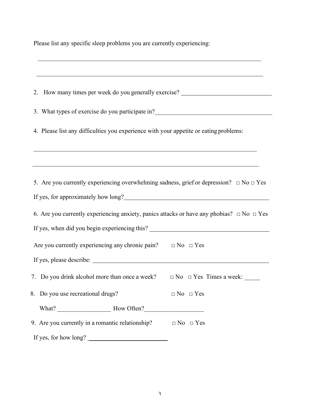Please list any specific sleep problems you are currently experiencing:

| 2. How many times per week do you generally exercise? __________________________                                      |                      |
|-----------------------------------------------------------------------------------------------------------------------|----------------------|
| 3. What types of exercise do you participate in?                                                                      |                      |
| 4. Please list any difficulties you experience with your appetite or eating problems:                                 |                      |
| <u> 1989 - Johann Harry Harry Harry Harry Harry Harry Harry Harry Harry Harry Harry Harry Harry Harry Harry Harry</u> |                      |
| 5. Are you currently experiencing overwhelming sadness, grief or depression? $\Box$ No $\Box$ Yes                     |                      |
| If yes, for approximately how long?                                                                                   |                      |
| 6. Are you currently experiencing anxiety, panics attacks or have any phobias? $\Box$ No $\Box$ Yes                   |                      |
| If yes, when did you begin experiencing this? ___________________________________                                     |                      |
| Are you currently experiencing any chronic pain? $\Box$ No $\Box$ Yes                                                 |                      |
|                                                                                                                       |                      |
| 7. Do you drink alcohol more than once a week? $\Box$ No $\Box$ Yes Times a week: ______                              |                      |
| 8. Do you use recreational drugs?                                                                                     | $\Box$ No $\Box$ Yes |
|                                                                                                                       |                      |
| 9. Are you currently in a romantic relationship? $\Box$ No $\Box$ Yes                                                 |                      |
| If yes, for how long?                                                                                                 |                      |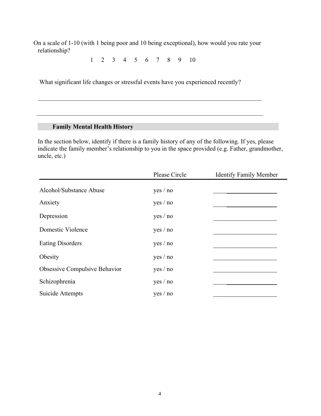On a scale of 1-10 (with 1 being poor and 10 being exceptional), how would you rate your relationship?

 $\mathcal{L}_\text{max}$  , and the contribution of the contribution of the contribution of the contribution of the contribution of the contribution of the contribution of the contribution of the contribution of the contribution of t

 $\mathcal{L}_\text{max}$  and  $\mathcal{L}_\text{max}$  and  $\mathcal{L}_\text{max}$  and  $\mathcal{L}_\text{max}$  and  $\mathcal{L}_\text{max}$  and  $\mathcal{L}_\text{max}$ 

1 2 3 4 5 6 7 8 9 10

What significant life changes or stressful events have you experienced recently?

## **Family Mental Health History**

In the section below, identify if there is a family history of any of the following. If yes, please indicate the family member's relationship to you in the space provided (e.g. Father, grandmother, uncle, etc.)

|                               | Please Circle | <b>Identify Family Member</b> |
|-------------------------------|---------------|-------------------------------|
| Alcohol/Substance Abuse       | yes / no      |                               |
| Anxiety                       | yes / no      |                               |
| Depression                    | yes / no      |                               |
| Domestic Violence             | yes / no      |                               |
| <b>Eating Disorders</b>       | yes / no      |                               |
| Obesity                       | yes / no      |                               |
| Obsessive Compulsive Behavior | yes / no      |                               |
| Schizophrenia                 | yes / no      |                               |
| Suicide Attempts              | yes / no      |                               |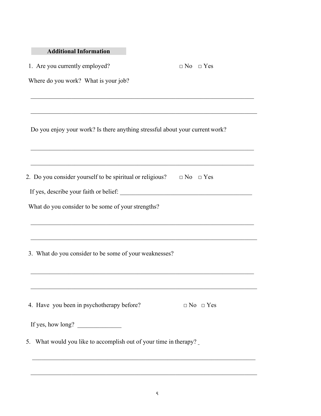| <b>Additional Information</b>                                                  |                      |
|--------------------------------------------------------------------------------|----------------------|
| 1. Are you currently employed?                                                 | $\Box$ No $\Box$ Yes |
| Where do you work? What is your job?                                           |                      |
|                                                                                |                      |
| Do you enjoy your work? Is there anything stressful about your current work?   |                      |
|                                                                                |                      |
| 2. Do you consider yourself to be spiritual or religious? $\Box$ No $\Box$ Yes |                      |
|                                                                                |                      |
| What do you consider to be some of your strengths?                             |                      |
|                                                                                |                      |
| 3. What do you consider to be some of your weaknesses?                         |                      |
| 4. Have you been in psychotherapy before?                                      | $\Box$ No $\Box$ Yes |
| If yes, how long?                                                              |                      |
| 5. What would you like to accomplish out of your time in therapy?              |                      |

 $\mathcal{L}_\text{max} = \mathcal{L}_\text{max} = \mathcal{L}_\text{max} = \mathcal{L}_\text{max} = \mathcal{L}_\text{max} = \mathcal{L}_\text{max} = \mathcal{L}_\text{max} = \mathcal{L}_\text{max} = \mathcal{L}_\text{max} = \mathcal{L}_\text{max} = \mathcal{L}_\text{max} = \mathcal{L}_\text{max} = \mathcal{L}_\text{max} = \mathcal{L}_\text{max} = \mathcal{L}_\text{max} = \mathcal{L}_\text{max} = \mathcal{L}_\text{max} = \mathcal{L}_\text{max} = \mathcal{$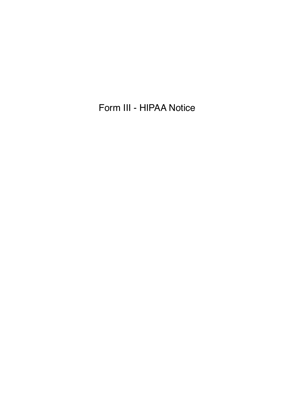Form III - HIPAA Notice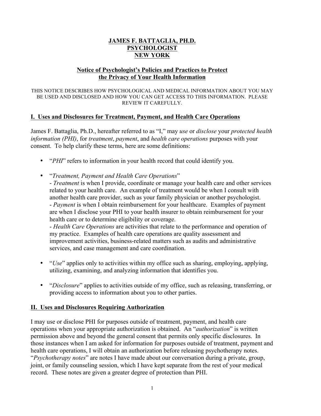## **JAMES F. BATTAGLIA, PH.D. PSYCHOLOGIST NEW YORK**

## **Notice of Psychologist's Policies and Practices to Protect the Privacy of Your Health Information**

THIS NOTICE DESCRIBES HOW PSYCHOLOGICAL AND MEDICAL INFORMATION ABOUT YOU MAY BE USED AND DISCLOSED AND HOW YOU CAN GET ACCESS TO THIS INFORMATION. PLEASE REVIEW IT CAREFULLY.

#### **I. Uses and Disclosures for Treatment, Payment, and Health Care Operations**

James F. Battaglia, Ph.D., hereafter referred to as "I," may *use* or *disclose* your *protected health information (PHI)*, for *treatment*, *payment*, and *health care operations* purposes with your consent. To help clarify these terms, here are some definitions:

- "*PHI*" refers to information in your health record that could identify you.
- "*Treatment, Payment and Health Care Operations*"

- *Treatment* is when I provide, coordinate or manage your health care and other services related to your health care. An example of treatment would be when I consult with another health care provider, such as your family physician or another psychologist. - *Payment* is when I obtain reimbursement for your healthcare. Examples of payment are when I disclose your PHI to your health insurer to obtain reimbursement for your health care or to determine eligibility or coverage.

- *Health Care Operations* are activities that relate to the performance and operation of my practice. Examples of health care operations are quality assessment and improvement activities, business-related matters such as audits and administrative services, and case management and care coordination.

- "*Use*" applies only to activities within my office such as sharing, employing, applying, utilizing, examining, and analyzing information that identifies you.
- "*Disclosure*" applies to activities outside of my office, such as releasing, transferring, or providing access to information about you to other parties.

#### **II. Uses and Disclosures Requiring Authorization**

I may use or disclose PHI for purposes outside of treatment, payment, and health care operations when your appropriate authorization is obtained. An "*authorization*" is written permission above and beyond the general consent that permits only specific disclosures. In those instances when I am asked for information for purposes outside of treatment, payment and health care operations, I will obtain an authorization before releasing psychotherapy notes. "*Psychotherapy notes*" are notes I have made about our conversation during a private, group, joint, or family counseling session, which I have kept separate from the rest of your medical record. These notes are given a greater degree of protection than PHI.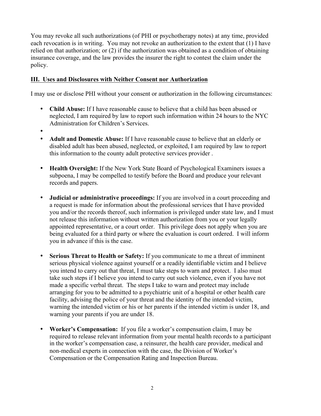You may revoke all such authorizations (of PHI or psychotherapy notes) at any time, provided each revocation is in writing. You may not revoke an authorization to the extent that (1) I have relied on that authorization; or (2) if the authorization was obtained as a condition of obtaining insurance coverage, and the law provides the insurer the right to contest the claim under the policy.

## **III. Uses and Disclosures with Neither Consent nor Authorization**

I may use or disclose PHI without your consent or authorization in the following circumstances:

- **Child Abuse:** If I have reasonable cause to believe that a child has been abused or neglected, I am required by law to report such information within 24 hours to the NYC Administration for Children's Services.
- •
- **Adult and Domestic Abuse:** If I have reasonable cause to believe that an elderly or disabled adult has been abused, neglected, or exploited, I am required by law to report this information to the county adult protective services provider .
- **Health Oversight:** If the New York State Board of Psychological Examiners issues a subpoena, I may be compelled to testify before the Board and produce your relevant records and papers.
- **Judicial or administrative proceedings:** If you are involved in a court proceeding and a request is made for information about the professional services that I have provided you and/or the records thereof, such information is privileged under state law, and I must not release this information without written authorization from you or your legally appointed representative, or a court order. This privilege does not apply when you are being evaluated for a third party or where the evaluation is court ordered. I will inform you in advance if this is the case.
- **Serious Threat to Health or Safety:** If you communicate to me a threat of imminent serious physical violence against yourself or a readily identifiable victim and I believe you intend to carry out that threat, I must take steps to warn and protect. I also must take such steps if I believe you intend to carry out such violence, even if you have not made a specific verbal threat. The steps I take to warn and protect may include arranging for you to be admitted to a psychiatric unit of a hospital or other health care facility, advising the police of your threat and the identity of the intended victim, warning the intended victim or his or her parents if the intended victim is under 18, and warning your parents if you are under 18.
- **Worker's Compensation:** If you file a worker's compensation claim, I may be required to release relevant information from your mental health records to a participant in the worker's compensation case, a reinsurer, the health care provider, medical and non-medical experts in connection with the case, the Division of Worker's Compensation or the Compensation Rating and Inspection Bureau.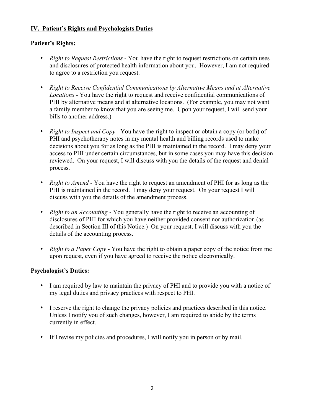## **IV. Patient's Rights and Psychologists Duties**

## **Patient's Rights:**

- *Right to Request Restrictions* You have the right to request restrictions on certain uses and disclosures of protected health information about you. However, I am not required to agree to a restriction you request.
- *Right to Receive Confidential Communications by Alternative Means and at Alternative Locations* - You have the right to request and receive confidential communications of PHI by alternative means and at alternative locations. (For example, you may not want a family member to know that you are seeing me. Upon your request, I will send your bills to another address.)
- *Right to Inspect and Copy* You have the right to inspect or obtain a copy (or both) of PHI and psychotherapy notes in my mental health and billing records used to make decisions about you for as long as the PHI is maintained in the record. I may deny your access to PHI under certain circumstances, but in some cases you may have this decision reviewed. On your request, I will discuss with you the details of the request and denial process.
- *Right to Amend* You have the right to request an amendment of PHI for as long as the PHI is maintained in the record. I may deny your request. On your request I will discuss with you the details of the amendment process.
- *Right to an Accounting* You generally have the right to receive an accounting of disclosures of PHI for which you have neither provided consent nor authorization (as described in Section III of this Notice.) On your request, I will discuss with you the details of the accounting process.
- *Right to a Paper Copy* You have the right to obtain a paper copy of the notice from me upon request, even if you have agreed to receive the notice electronically.

## **Psychologist's Duties:**

- I am required by law to maintain the privacy of PHI and to provide you with a notice of my legal duties and privacy practices with respect to PHI.
- I reserve the right to change the privacy policies and practices described in this notice. Unless I notify you of such changes, however, I am required to abide by the terms currently in effect.
- If I revise my policies and procedures, I will notify you in person or by mail.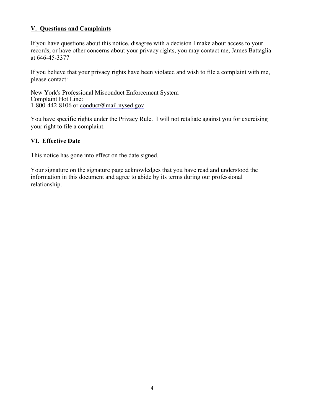## **V. Questions and Complaints**

If you have questions about this notice, disagree with a decision I make about access to your records, or have other concerns about your privacy rights, you may contact me, James Battaglia at 646-45-3377

If you believe that your privacy rights have been violated and wish to file a complaint with me, please contact:

New York's Professional Misconduct Enforcement System Complaint Hot Line:  $1-800-442-8106$  or conduct@mail.nysed.gov

You have specific rights under the Privacy Rule. I will not retaliate against you for exercising your right to file a complaint.

## **VI. Effective Date**

This notice has gone into effect on the date signed.

Your signature on the signature page acknowledges that you have read and understood the information in this document and agree to abide by its terms during our professional relationship.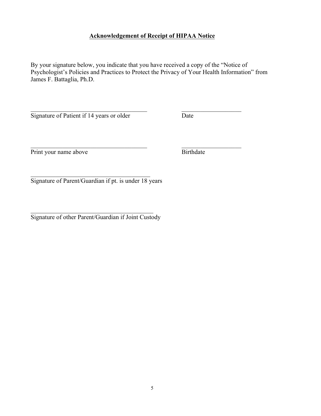## **Acknowledgement of Receipt of HIPAA Notice**

By your signature below, you indicate that you have received a copy of the "Notice of Psychologist's Policies and Practices to Protect the Privacy of Your Health Information" from James F. Battaglia, Ph.D.

 $\mathcal{L}_\text{max}$  and the contract of the contract of the contract of the contract of the contract of the contract of

 $\mathcal{L}_\text{max}$  , and the contribution of the contribution of the contribution of the contribution of the contribution of the contribution of the contribution of the contribution of the contribution of the contribution of t

Signature of Patient if 14 years or older Date

Print your name above Birthdate

Signature of Parent/Guardian if pt. is under 18 years

 $\mathcal{L}_\text{max}$  and  $\mathcal{L}_\text{max}$  and  $\mathcal{L}_\text{max}$  and  $\mathcal{L}_\text{max}$ 

 $\mathcal{L}_\text{max}$  , and the set of the set of the set of the set of the set of the set of the set of the set of the set of the set of the set of the set of the set of the set of the set of the set of the set of the set of the Signature of other Parent/Guardian if Joint Custody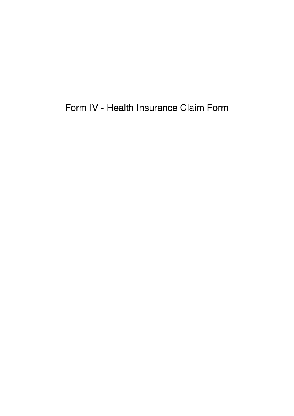Form IV - Health Insurance Claim Form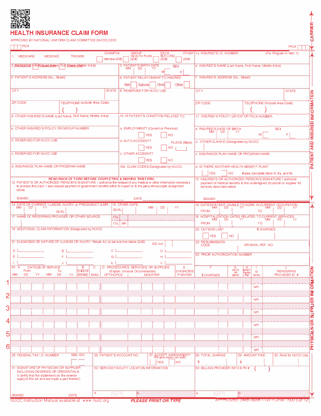

## **HEALTH INSURANCE CLAIM FORM**

APPROVED BY NATIONAL UNIFORM CLAIM COMMITTEE (NUCC) 02112

| PICA                                                                                                                                                                             |                                                                                                   | <b>PICA</b>                                                                                                                            |                                 |
|----------------------------------------------------------------------------------------------------------------------------------------------------------------------------------|---------------------------------------------------------------------------------------------------|----------------------------------------------------------------------------------------------------------------------------------------|---------------------------------|
| <b>CHAMPVA</b><br>1. MEDICARE<br><b>MEDICAID</b><br><b>TRICARE</b><br>(Member ID#)                                                                                               | GROUP<br>HEALTH PLAN<br>FECA<br>BLK LUNG<br>(1D#)<br>(D#)<br>(1D#)                                | OTHER   1a. INSURED'S I.D. NUMBER<br>(For Program in Item 1)                                                                           |                                 |
| 2. R&BIENE病 NAME Meast hisme. First Mampedighte Initial)                                                                                                                         | 3. PATIENT'S BIRTH DATE<br><b>SEX</b><br>$MM$   $DD$<br>YY<br>F                                   | 4. INSURED'S NAME (Last Name, First Name, Middle Initial)                                                                              |                                 |
| 5. PATIENT'S ADDRESS (No., Street)                                                                                                                                               | 6. PATIENT RELATIONSHIP TO INSURED                                                                | 7. INSURED'S ADDRESS (No., Street)                                                                                                     |                                 |
|                                                                                                                                                                                  | Child <sup>1</sup><br>Other<br>Self<br>Spouse                                                     |                                                                                                                                        |                                 |
| <b>CITY</b>                                                                                                                                                                      | STATE   8. RESERVED FOR NUCC USE                                                                  | <b>STATE</b><br><b>CITY</b>                                                                                                            |                                 |
| <b>ZIP CODE</b><br>TELEPHONE (Indude Area Code)                                                                                                                                  |                                                                                                   | ZIP CODE<br>TELEPHONE (Indude Area Code)                                                                                               |                                 |
|                                                                                                                                                                                  |                                                                                                   |                                                                                                                                        |                                 |
| 9. OTHER INSURED'S NAME (Last Name, First Name, Middle Initial)                                                                                                                  | 10. IS PATIENT'S CONDITION RELATED TO:                                                            | 11. INSURED'S POLICY GROUP OR FECA NUMBER                                                                                              | PATIENT AND INSURED INFORMATION |
| a. OTHER INSURED'S POLICY OR GROUP NUMBER                                                                                                                                        | a. EMPLOYMENT? (Current or Previous)                                                              | a. INSURED'S DATE OF BIRTH MM   DD   YY<br><b>SEX</b>                                                                                  |                                 |
|                                                                                                                                                                                  | <b>YES</b><br><b>NO</b>                                                                           | FI<br>M                                                                                                                                |                                 |
| b. RESERVED FOR NUCC USE                                                                                                                                                         | b. AUTO ACCIDENT?<br><b>PLACE (State)</b>                                                         | b. OTHER CLAIM ID (Designated by NUCC)                                                                                                 |                                 |
| c. RESERVED FOR NUCC USE                                                                                                                                                         | <b>NO</b><br><b>YES</b><br>c. OTHER ACCIDENT?                                                     |                                                                                                                                        |                                 |
|                                                                                                                                                                                  | <b>YES</b><br><b>NO</b>                                                                           | C. INSURANCE PLAN NAME OR PROGRAM NAME                                                                                                 |                                 |
| d. INSURANCE PLAN NAME OR PROGRAM NAME                                                                                                                                           | 10d. CLAIM CODES (Designated by NUCC)                                                             | d. IS THERE ANOTHER HEALTH BENEFIT PLAN?                                                                                               |                                 |
|                                                                                                                                                                                  |                                                                                                   | <b>YES</b><br>If yes, complete items 9, 9a, and 9d.<br><b>NO</b>                                                                       |                                 |
| READ BACK OF FORM BEFORE COMPLETING & SIGNING THIS FORM.<br>12. PATIENT'S OR AUTHORIZED PERSON'S SIGNATURE I authorize the release of any medical or other information necessary |                                                                                                   | 13. INSURED'S OR AUTHORIZED PERSON'S SIGNATURE I authorize<br>payment of medical benefits to the undersigned physician or supplier for |                                 |
| to process this claim. I also request payment of government benefits either to myself or to the party who accepts assignment<br>below.                                           |                                                                                                   | services described below.                                                                                                              |                                 |
| <b>SIGNED</b>                                                                                                                                                                    | DATE                                                                                              | <b>SIGNED</b>                                                                                                                          |                                 |
| 14. DATE OF CURRENT ILLNESS, INJURY, or PREGNANCY (LMP)<br><b>MM</b><br>DD 1                                                                                                     | 15. OTHER DATE<br><b>DD</b><br><b>YY</b><br><b>MM</b><br>QUAL!                                    | 16. DATESPATIENT UNABLE TO WORK IN CURRENT OCCUPATION<br>MM<br><b>MM</b><br>DD <sub>1</sub>                                            |                                 |
| <b>QUAL</b><br>17. NAME OF REFERRING PROVIDER OR OTHER SOURCE<br>17a.                                                                                                            |                                                                                                   | <b>FROM</b><br>TO<br>18. HOSPITALIZATION DATES RELATED TO CURRENT SERVICES                                                             |                                 |
|                                                                                                                                                                                  | $17h$ NPI                                                                                         | DD.<br><b>MM</b><br><b>MM</b><br>DD.<br>YY<br><b>FROM</b><br><b>TO</b>                                                                 |                                 |
| 19. ADDITIONAL CLAIM INFORMATION (Designated by NUCC)                                                                                                                            |                                                                                                   | 20. OUTSIDE LAB?<br><b>\$CHARGES</b>                                                                                                   |                                 |
| 21. DIAGNOSIS OR NATURE OF ILLNESS OR INJURY Relate A-L to service line below (24E)                                                                                              |                                                                                                   | <b>NO</b><br>YES                                                                                                                       |                                 |
|                                                                                                                                                                                  | ICD Ind.                                                                                          | 22. RESUBMISSION CODE<br>ORIGINAL REF. NO.                                                                                             |                                 |
| c. I<br>А.<br>B.I<br>$F_{\rm c}$<br>G.                                                                                                                                           | D.<br>Н.                                                                                          | 23. PRIOR AUTHORIZATION NUMBER                                                                                                         |                                 |
| J. L<br><b>K.</b>                                                                                                                                                                |                                                                                                   |                                                                                                                                        |                                 |
| 24. A.<br>B.<br>DATE(S) OF SERVICE<br>C.<br>PLACE OF<br>From<br>To                                                                                                               | D. PROCEDURES, SERVICES, OR SUPPLIES<br>Е.<br>(Explain Unusual Circumstances)<br><b>DIAGNOSIS</b> | F.<br>G<br>H<br>EPSD T<br>Family<br>Plan<br>J.<br>DAYS<br><b>RENDERING</b><br>ID.<br>OR.                                               |                                 |
| <b>MM</b><br><b>DD</b><br>YY.<br><b>MM</b><br><b>DD</b><br>YY.<br><b>SERVICE EMG</b><br><b>CPT/HCPCS</b>                                                                         | <b>MODIFIER</b><br><b>PONTER</b>                                                                  | PROVIDER ID. #<br>\$ CHARGES<br>QUAL<br><b>UNITS</b>                                                                                   |                                 |
|                                                                                                                                                                                  |                                                                                                   | <b>NPI</b>                                                                                                                             |                                 |
|                                                                                                                                                                                  |                                                                                                   |                                                                                                                                        |                                 |
|                                                                                                                                                                                  |                                                                                                   | <b>NPI</b>                                                                                                                             |                                 |
|                                                                                                                                                                                  |                                                                                                   | <b>NPI</b>                                                                                                                             |                                 |
|                                                                                                                                                                                  |                                                                                                   |                                                                                                                                        |                                 |
|                                                                                                                                                                                  |                                                                                                   | <b>NPI</b>                                                                                                                             |                                 |
|                                                                                                                                                                                  |                                                                                                   | <b>NPI</b>                                                                                                                             | PHYSICIAN                       |
|                                                                                                                                                                                  |                                                                                                   |                                                                                                                                        |                                 |
| 25. FEDERAL TAX I.D. NUMBER<br><b>SSN EIN</b><br>26. PATIENT'S ACCOUNT NO.                                                                                                       |                                                                                                   | <b>NPI</b><br>28. TOTAL CHARGE<br>29. AMOUNT PAID<br>30. Rsvd.for NUCC Use                                                             |                                 |
|                                                                                                                                                                                  | 27. ACCEPT ASSIGNMENT?<br>(For govt claims, see back)<br><b>YES</b><br> NO                        | $\mathfrak{F}$<br>\$                                                                                                                   |                                 |
| 31. SIGNATURE OF PHYSICIAN OR SUPPLIER<br><b>INCLUDING DEGREES OR CREDENTIALS</b>                                                                                                | 32. SERVICE FACILITY LOCATION INFORMATION                                                         | 33. BILLING PROVIDER INFO & PH #                                                                                                       |                                 |
| (I certify that the statements on the reverse<br>apply to this bill and are made a part thereof.)                                                                                |                                                                                                   |                                                                                                                                        |                                 |
|                                                                                                                                                                                  |                                                                                                   |                                                                                                                                        |                                 |
| a.<br><b>SIGNED</b><br><b>DATE</b>                                                                                                                                               | D.<br>NM                                                                                          | lo.<br>a.<br>NPI                                                                                                                       |                                 |
|                                                                                                                                                                                  |                                                                                                   |                                                                                                                                        |                                 |

NUCC Instruction Manual available at www nucc org *PLEASE PRINT OR TYPE* 

APPROVED OMB-0938-1197 FORM 1500 (02-12)

**a: w** 

**a:**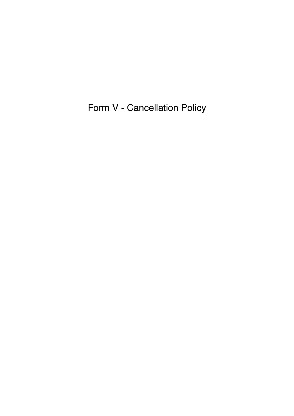Form V - Cancellation Policy